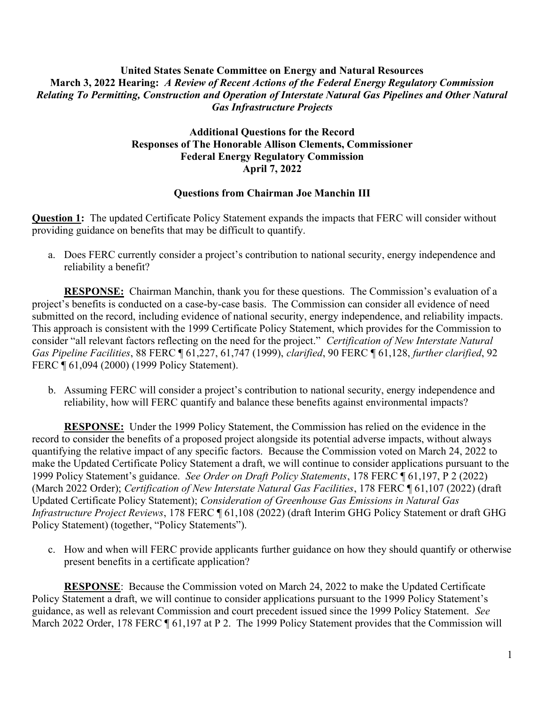# United States Senate Committee on Energy and Natural Resources March 3, 2022 Hearing: A Review of Recent Actions of the Federal Energy Regulatory Commission Relating To Permitting, Construction and Operation of Interstate Natural Gas Pipelines and Other Natural Gas Infrastructure Projects

# Additional Questions for the Record Responses of The Honorable Allison Clements, Commissioner Federal Energy Regulatory Commission April 7, 2022

#### Questions from Chairman Joe Manchin III

**Question 1:** The updated Certificate Policy Statement expands the impacts that FERC will consider without providing guidance on benefits that may be difficult to quantify.

a. Does FERC currently consider a project's contribution to national security, energy independence and reliability a benefit?

**RESPONSE:** Chairman Manchin, thank you for these questions. The Commission's evaluation of a project's benefits is conducted on a case-by-case basis. The Commission can consider all evidence of need submitted on the record, including evidence of national security, energy independence, and reliability impacts. This approach is consistent with the 1999 Certificate Policy Statement, which provides for the Commission to consider "all relevant factors reflecting on the need for the project." Certification of New Interstate Natural Gas Pipeline Facilities, 88 FERC ¶ 61,227, 61,747 (1999), clarified, 90 FERC ¶ 61,128, further clarified, 92 FERC ¶ 61,094 (2000) (1999 Policy Statement).

b. Assuming FERC will consider a project's contribution to national security, energy independence and reliability, how will FERC quantify and balance these benefits against environmental impacts?

RESPONSE: Under the 1999 Policy Statement, the Commission has relied on the evidence in the record to consider the benefits of a proposed project alongside its potential adverse impacts, without always quantifying the relative impact of any specific factors. Because the Commission voted on March 24, 2022 to make the Updated Certificate Policy Statement a draft, we will continue to consider applications pursuant to the 1999 Policy Statement's guidance. See Order on Draft Policy Statements, 178 FERC ¶ 61,197, P 2 (2022) (March 2022 Order); Certification of New Interstate Natural Gas Facilities, 178 FERC ¶ 61,107 (2022) (draft Updated Certificate Policy Statement); Consideration of Greenhouse Gas Emissions in Natural Gas Infrastructure Project Reviews, 178 FERC ¶ 61,108 (2022) (draft Interim GHG Policy Statement or draft GHG Policy Statement) (together, "Policy Statements").

c. How and when will FERC provide applicants further guidance on how they should quantify or otherwise present benefits in a certificate application?

**RESPONSE:** Because the Commission voted on March 24, 2022 to make the Updated Certificate Policy Statement a draft, we will continue to consider applications pursuant to the 1999 Policy Statement's guidance, as well as relevant Commission and court precedent issued since the 1999 Policy Statement. See March 2022 Order, 178 FERC ¶ 61,197 at P 2. The 1999 Policy Statement provides that the Commission will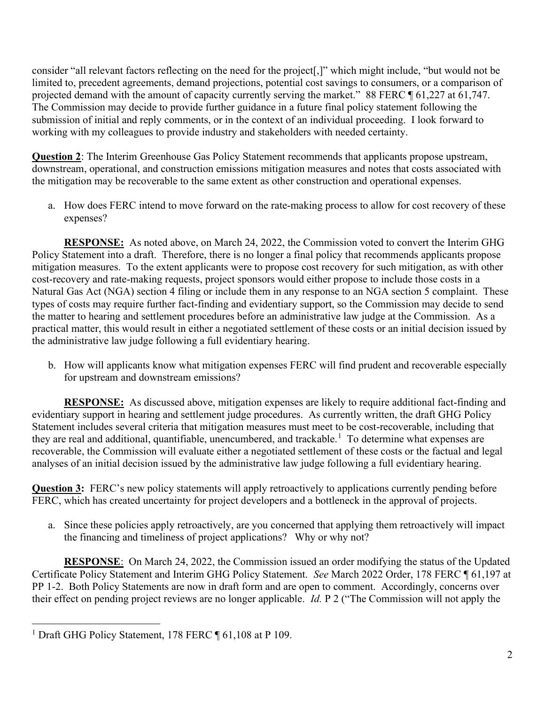consider "all relevant factors reflecting on the need for the project[,]" which might include, "but would not be limited to, precedent agreements, demand projections, potential cost savings to consumers, or a comparison of projected demand with the amount of capacity currently serving the market." 88 FERC ¶ 61,227 at 61,747. The Commission may decide to provide further guidance in a future final policy statement following the submission of initial and reply comments, or in the context of an individual proceeding. I look forward to working with my colleagues to provide industry and stakeholders with needed certainty.

Question 2: The Interim Greenhouse Gas Policy Statement recommends that applicants propose upstream, downstream, operational, and construction emissions mitigation measures and notes that costs associated with the mitigation may be recoverable to the same extent as other construction and operational expenses.

a. How does FERC intend to move forward on the rate-making process to allow for cost recovery of these expenses?

RESPONSE: As noted above, on March 24, 2022, the Commission voted to convert the Interim GHG Policy Statement into a draft. Therefore, there is no longer a final policy that recommends applicants propose mitigation measures. To the extent applicants were to propose cost recovery for such mitigation, as with other cost-recovery and rate-making requests, project sponsors would either propose to include those costs in a Natural Gas Act (NGA) section 4 filing or include them in any response to an NGA section 5 complaint. These types of costs may require further fact-finding and evidentiary support, so the Commission may decide to send the matter to hearing and settlement procedures before an administrative law judge at the Commission. As a practical matter, this would result in either a negotiated settlement of these costs or an initial decision issued by the administrative law judge following a full evidentiary hearing.

b. How will applicants know what mitigation expenses FERC will find prudent and recoverable especially for upstream and downstream emissions?

RESPONSE: As discussed above, mitigation expenses are likely to require additional fact-finding and evidentiary support in hearing and settlement judge procedures. As currently written, the draft GHG Policy Statement includes several criteria that mitigation measures must meet to be cost-recoverable, including that they are real and additional, quantifiable, unencumbered, and trackable.<sup>1</sup> To determine what expenses are recoverable, the Commission will evaluate either a negotiated settlement of these costs or the factual and legal analyses of an initial decision issued by the administrative law judge following a full evidentiary hearing.

Question 3: FERC's new policy statements will apply retroactively to applications currently pending before FERC, which has created uncertainty for project developers and a bottleneck in the approval of projects.

a. Since these policies apply retroactively, are you concerned that applying them retroactively will impact the financing and timeliness of project applications? Why or why not?

**RESPONSE:** On March 24, 2022, the Commission issued an order modifying the status of the Updated Certificate Policy Statement and Interim GHG Policy Statement. See March 2022 Order, 178 FERC ¶ 61,197 at PP 1-2. Both Policy Statements are now in draft form and are open to comment. Accordingly, concerns over their effect on pending project reviews are no longer applicable. Id. P 2 ("The Commission will not apply the

<sup>&</sup>lt;sup>1</sup> Draft GHG Policy Statement, 178 FERC ¶ 61,108 at P 109.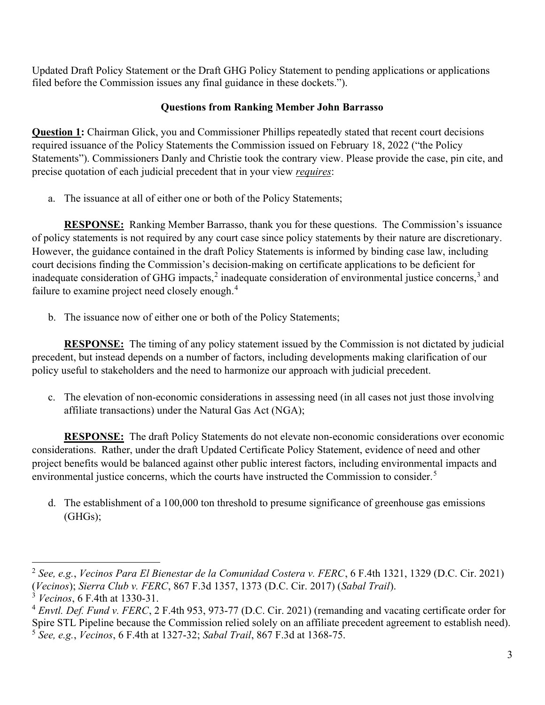Updated Draft Policy Statement or the Draft GHG Policy Statement to pending applications or applications filed before the Commission issues any final guidance in these dockets.").

# Questions from Ranking Member John Barrasso

**Question 1:** Chairman Glick, you and Commissioner Phillips repeatedly stated that recent court decisions required issuance of the Policy Statements the Commission issued on February 18, 2022 ("the Policy Statements"). Commissioners Danly and Christie took the contrary view. Please provide the case, pin cite, and precise quotation of each judicial precedent that in your view requires:

a. The issuance at all of either one or both of the Policy Statements;

**RESPONSE:** Ranking Member Barrasso, thank you for these questions. The Commission's issuance of policy statements is not required by any court case since policy statements by their nature are discretionary. However, the guidance contained in the draft Policy Statements is informed by binding case law, including court decisions finding the Commission's decision-making on certificate applications to be deficient for inadequate consideration of GHG impacts,<sup>2</sup> inadequate consideration of environmental justice concerns,<sup>3</sup> and failure to examine project need closely enough.<sup>4</sup>

b. The issuance now of either one or both of the Policy Statements;

RESPONSE: The timing of any policy statement issued by the Commission is not dictated by judicial precedent, but instead depends on a number of factors, including developments making clarification of our policy useful to stakeholders and the need to harmonize our approach with judicial precedent.

c. The elevation of non-economic considerations in assessing need (in all cases not just those involving affiliate transactions) under the Natural Gas Act (NGA);

RESPONSE: The draft Policy Statements do not elevate non-economic considerations over economic considerations. Rather, under the draft Updated Certificate Policy Statement, evidence of need and other project benefits would be balanced against other public interest factors, including environmental impacts and environmental justice concerns, which the courts have instructed the Commission to consider.<sup>5</sup>

d. The establishment of a 100,000 ton threshold to presume significance of greenhouse gas emissions (GHGs);

<sup>&</sup>lt;sup>2</sup> See, e.g., Vecinos Para El Bienestar de la Comunidad Costera v. FERC, 6 F.4th 1321, 1329 (D.C. Cir. 2021) (Vecinos); Sierra Club v. FERC, 867 F.3d 1357, 1373 (D.C. Cir. 2017) (Sabal Trail).

 $3$  Vecinos, 6 F.4th at 1330-31.

 $^{4}$  Envtl. Def. Fund v. FERC, 2 F.4th 953, 973-77 (D.C. Cir. 2021) (remanding and vacating certificate order for Spire STL Pipeline because the Commission relied solely on an affiliate precedent agreement to establish need). <sup>5</sup> See, e.g., Vecinos, 6 F.4th at 1327-32; Sabal Trail, 867 F.3d at 1368-75.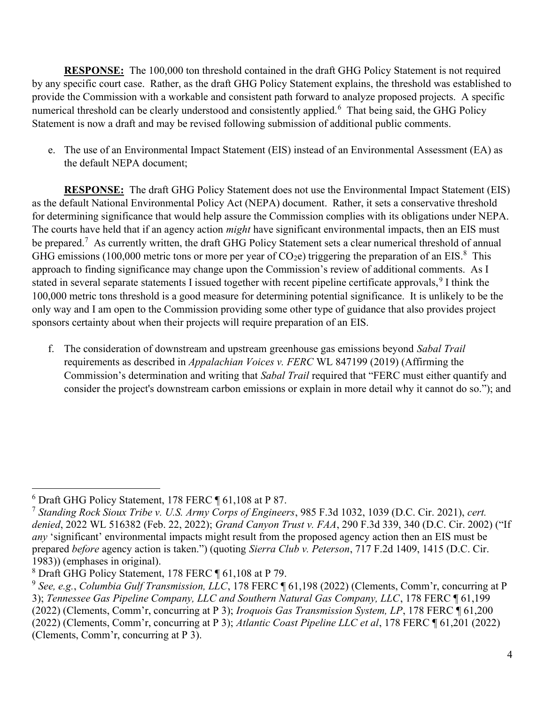**RESPONSE:** The 100,000 ton threshold contained in the draft GHG Policy Statement is not required by any specific court case. Rather, as the draft GHG Policy Statement explains, the threshold was established to provide the Commission with a workable and consistent path forward to analyze proposed projects. A specific numerical threshold can be clearly understood and consistently applied.<sup>6</sup> That being said, the GHG Policy Statement is now a draft and may be revised following submission of additional public comments.

e. The use of an Environmental Impact Statement (EIS) instead of an Environmental Assessment (EA) as the default NEPA document;

RESPONSE: The draft GHG Policy Statement does not use the Environmental Impact Statement (EIS) as the default National Environmental Policy Act (NEPA) document. Rather, it sets a conservative threshold for determining significance that would help assure the Commission complies with its obligations under NEPA. The courts have held that if an agency action *might* have significant environmental impacts, then an EIS must be prepared.<sup>7</sup> As currently written, the draft GHG Policy Statement sets a clear numerical threshold of annual GHG emissions (100,000 metric tons or more per year of CO<sub>2</sub>e) triggering the preparation of an EIS.<sup>8</sup> This approach to finding significance may change upon the Commission's review of additional comments. As I stated in several separate statements I issued together with recent pipeline certificate approvals,  $9$  I think the 100,000 metric tons threshold is a good measure for determining potential significance. It is unlikely to be the only way and I am open to the Commission providing some other type of guidance that also provides project sponsors certainty about when their projects will require preparation of an EIS.

f. The consideration of downstream and upstream greenhouse gas emissions beyond Sabal Trail requirements as described in *Appalachian Voices v. FERC* WL 847199 (2019) (Affirming the Commission's determination and writing that Sabal Trail required that "FERC must either quantify and consider the project's downstream carbon emissions or explain in more detail why it cannot do so."); and

<sup>6</sup> Draft GHG Policy Statement, 178 FERC ¶ 61,108 at P 87.

<sup>7</sup> Standing Rock Sioux Tribe v. U.S. Army Corps of Engineers, 985 F.3d 1032, 1039 (D.C. Cir. 2021), cert. denied, 2022 WL 516382 (Feb. 22, 2022); Grand Canyon Trust v. FAA, 290 F.3d 339, 340 (D.C. Cir. 2002) ("If any 'significant' environmental impacts might result from the proposed agency action then an EIS must be prepared before agency action is taken.") (quoting Sierra Club v. Peterson, 717 F.2d 1409, 1415 (D.C. Cir. 1983)) (emphases in original).

<sup>8</sup> Draft GHG Policy Statement, 178 FERC ¶ 61,108 at P 79.

<sup>&</sup>lt;sup>9</sup> See, e.g., Columbia Gulf Transmission, LLC, 178 FERC ¶ 61,198 (2022) (Clements, Comm'r, concurring at P 3); Tennessee Gas Pipeline Company, LLC and Southern Natural Gas Company, LLC, 178 FERC ¶ 61,199 (2022) (Clements, Comm'r, concurring at P 3); Iroquois Gas Transmission System, LP, 178 FERC ¶ 61,200 (2022) (Clements, Comm'r, concurring at P 3); Atlantic Coast Pipeline LLC et al, 178 FERC ¶ 61,201 (2022) (Clements, Comm'r, concurring at P 3).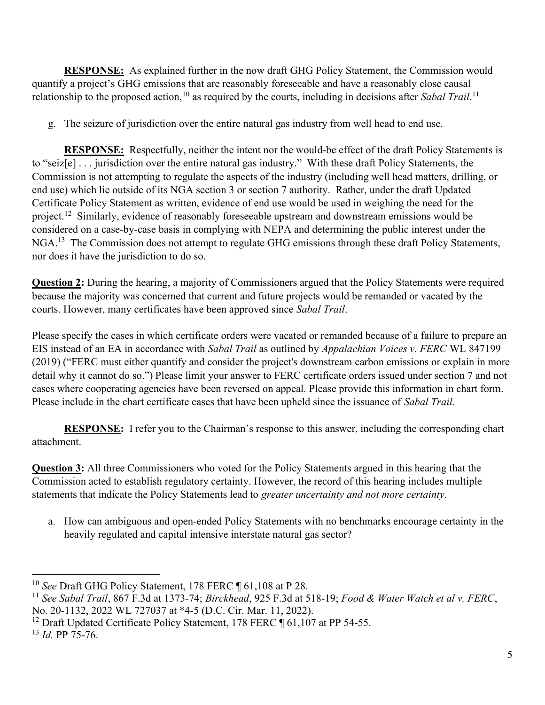**RESPONSE:** As explained further in the now draft GHG Policy Statement, the Commission would quantify a project's GHG emissions that are reasonably foreseeable and have a reasonably close causal relationship to the proposed action,  $^{10}$  as required by the courts, including in decisions after Sabal Trail.<sup>11</sup>

g. The seizure of jurisdiction over the entire natural gas industry from well head to end use.

**RESPONSE:** Respectfully, neither the intent nor the would-be effect of the draft Policy Statements is to "seiz[e] . . . jurisdiction over the entire natural gas industry." With these draft Policy Statements, the Commission is not attempting to regulate the aspects of the industry (including well head matters, drilling, or end use) which lie outside of its NGA section 3 or section 7 authority. Rather, under the draft Updated Certificate Policy Statement as written, evidence of end use would be used in weighing the need for the project.<sup>12</sup> Similarly, evidence of reasonably foreseeable upstream and downstream emissions would be considered on a case-by-case basis in complying with NEPA and determining the public interest under the NGA.<sup>13</sup> The Commission does not attempt to regulate GHG emissions through these draft Policy Statements, nor does it have the jurisdiction to do so.

Question 2: During the hearing, a majority of Commissioners argued that the Policy Statements were required because the majority was concerned that current and future projects would be remanded or vacated by the courts. However, many certificates have been approved since Sabal Trail.

Please specify the cases in which certificate orders were vacated or remanded because of a failure to prepare an EIS instead of an EA in accordance with Sabal Trail as outlined by Appalachian Voices v. FERC WL 847199 (2019) ("FERC must either quantify and consider the project's downstream carbon emissions or explain in more detail why it cannot do so.") Please limit your answer to FERC certificate orders issued under section 7 and not cases where cooperating agencies have been reversed on appeal. Please provide this information in chart form. Please include in the chart certificate cases that have been upheld since the issuance of Sabal Trail.

**RESPONSE:** I refer you to the Chairman's response to this answer, including the corresponding chart attachment.

**Question 3:** All three Commissioners who voted for the Policy Statements argued in this hearing that the Commission acted to establish regulatory certainty. However, the record of this hearing includes multiple statements that indicate the Policy Statements lead to greater uncertainty and not more certainty.

a. How can ambiguous and open-ended Policy Statements with no benchmarks encourage certainty in the heavily regulated and capital intensive interstate natural gas sector?

<sup>&</sup>lt;sup>10</sup> See Draft GHG Policy Statement, 178 FERC ¶ 61,108 at P 28.

<sup>&</sup>lt;sup>11</sup> See Sabal Trail, 867 F.3d at 1373-74; Birckhead, 925 F.3d at 518-19; Food & Water Watch et al v. FERC, No. 20-1132, 2022 WL 727037 at \*4-5 (D.C. Cir. Mar. 11, 2022).

<sup>&</sup>lt;sup>12</sup> Draft Updated Certificate Policy Statement, 178 FERC ¶ 61,107 at PP 54-55.

 $^{13}$  *Id.* PP 75-76.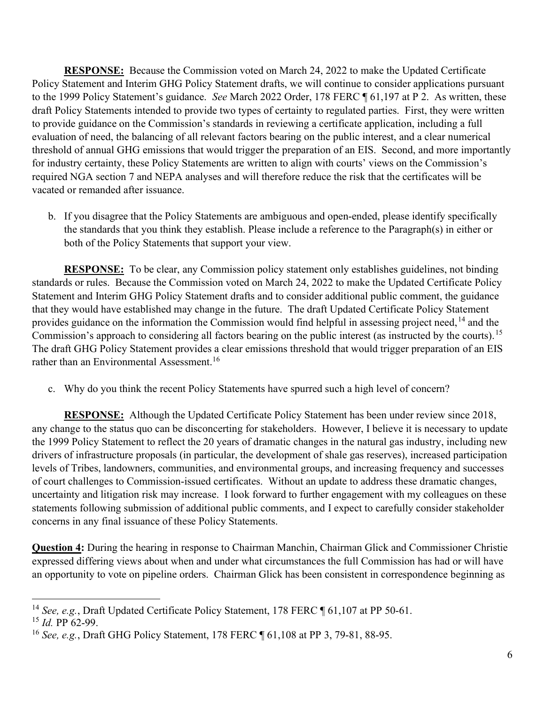RESPONSE: Because the Commission voted on March 24, 2022 to make the Updated Certificate Policy Statement and Interim GHG Policy Statement drafts, we will continue to consider applications pursuant to the 1999 Policy Statement's guidance. See March 2022 Order, 178 FERC ¶ 61,197 at P 2. As written, these draft Policy Statements intended to provide two types of certainty to regulated parties. First, they were written to provide guidance on the Commission's standards in reviewing a certificate application, including a full evaluation of need, the balancing of all relevant factors bearing on the public interest, and a clear numerical threshold of annual GHG emissions that would trigger the preparation of an EIS. Second, and more importantly for industry certainty, these Policy Statements are written to align with courts' views on the Commission's required NGA section 7 and NEPA analyses and will therefore reduce the risk that the certificates will be vacated or remanded after issuance.

b. If you disagree that the Policy Statements are ambiguous and open-ended, please identify specifically the standards that you think they establish. Please include a reference to the Paragraph(s) in either or both of the Policy Statements that support your view.

RESPONSE: To be clear, any Commission policy statement only establishes guidelines, not binding standards or rules. Because the Commission voted on March 24, 2022 to make the Updated Certificate Policy Statement and Interim GHG Policy Statement drafts and to consider additional public comment, the guidance that they would have established may change in the future. The draft Updated Certificate Policy Statement provides guidance on the information the Commission would find helpful in assessing project need,<sup>14</sup> and the Commission's approach to considering all factors bearing on the public interest (as instructed by the courts).<sup>15</sup> The draft GHG Policy Statement provides a clear emissions threshold that would trigger preparation of an EIS rather than an Environmental Assessment.<sup>16</sup>

c. Why do you think the recent Policy Statements have spurred such a high level of concern?

**RESPONSE:** Although the Updated Certificate Policy Statement has been under review since 2018, any change to the status quo can be disconcerting for stakeholders. However, I believe it is necessary to update the 1999 Policy Statement to reflect the 20 years of dramatic changes in the natural gas industry, including new drivers of infrastructure proposals (in particular, the development of shale gas reserves), increased participation levels of Tribes, landowners, communities, and environmental groups, and increasing frequency and successes of court challenges to Commission-issued certificates. Without an update to address these dramatic changes, uncertainty and litigation risk may increase. I look forward to further engagement with my colleagues on these statements following submission of additional public comments, and I expect to carefully consider stakeholder concerns in any final issuance of these Policy Statements.

Question 4: During the hearing in response to Chairman Manchin, Chairman Glick and Commissioner Christie expressed differing views about when and under what circumstances the full Commission has had or will have an opportunity to vote on pipeline orders. Chairman Glick has been consistent in correspondence beginning as

<sup>&</sup>lt;sup>14</sup> See, e.g., Draft Updated Certificate Policy Statement, 178 FERC  $\P$  61,107 at PP 50-61.

 $15$  *Id.* PP 62-99.

<sup>16</sup> See, e.g., Draft GHG Policy Statement, 178 FERC ¶ 61,108 at PP 3, 79-81, 88-95.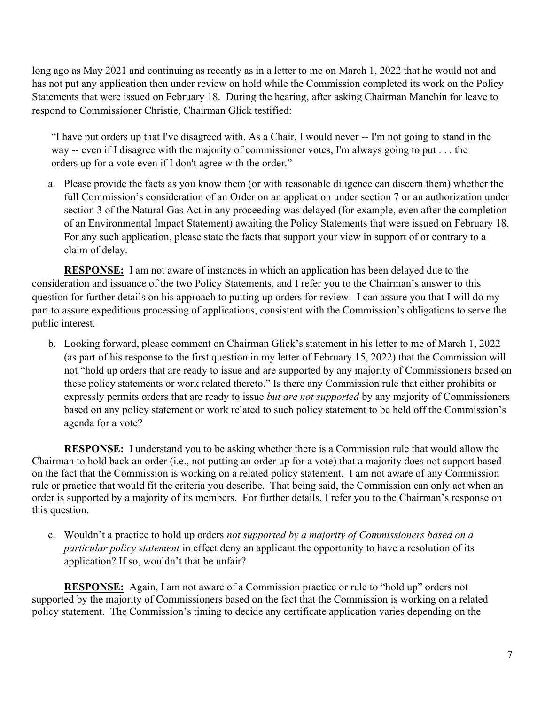long ago as May 2021 and continuing as recently as in a letter to me on March 1, 2022 that he would not and has not put any application then under review on hold while the Commission completed its work on the Policy Statements that were issued on February 18. During the hearing, after asking Chairman Manchin for leave to respond to Commissioner Christie, Chairman Glick testified:

"I have put orders up that I've disagreed with. As a Chair, I would never -- I'm not going to stand in the way -- even if I disagree with the majority of commissioner votes, I'm always going to put . . . the orders up for a vote even if I don't agree with the order."

a. Please provide the facts as you know them (or with reasonable diligence can discern them) whether the full Commission's consideration of an Order on an application under section 7 or an authorization under section 3 of the Natural Gas Act in any proceeding was delayed (for example, even after the completion of an Environmental Impact Statement) awaiting the Policy Statements that were issued on February 18. For any such application, please state the facts that support your view in support of or contrary to a claim of delay.

RESPONSE: I am not aware of instances in which an application has been delayed due to the consideration and issuance of the two Policy Statements, and I refer you to the Chairman's answer to this question for further details on his approach to putting up orders for review. I can assure you that I will do my part to assure expeditious processing of applications, consistent with the Commission's obligations to serve the public interest.

b. Looking forward, please comment on Chairman Glick's statement in his letter to me of March 1, 2022 (as part of his response to the first question in my letter of February 15, 2022) that the Commission will not "hold up orders that are ready to issue and are supported by any majority of Commissioners based on these policy statements or work related thereto." Is there any Commission rule that either prohibits or expressly permits orders that are ready to issue *but are not supported* by any majority of Commissioners based on any policy statement or work related to such policy statement to be held off the Commission's agenda for a vote?

RESPONSE: I understand you to be asking whether there is a Commission rule that would allow the Chairman to hold back an order (i.e., not putting an order up for a vote) that a majority does not support based on the fact that the Commission is working on a related policy statement. I am not aware of any Commission rule or practice that would fit the criteria you describe. That being said, the Commission can only act when an order is supported by a majority of its members. For further details, I refer you to the Chairman's response on this question.

c. Wouldn't a practice to hold up orders not supported by a majority of Commissioners based on a particular policy statement in effect deny an applicant the opportunity to have a resolution of its application? If so, wouldn't that be unfair?

RESPONSE: Again, I am not aware of a Commission practice or rule to "hold up" orders not supported by the majority of Commissioners based on the fact that the Commission is working on a related policy statement. The Commission's timing to decide any certificate application varies depending on the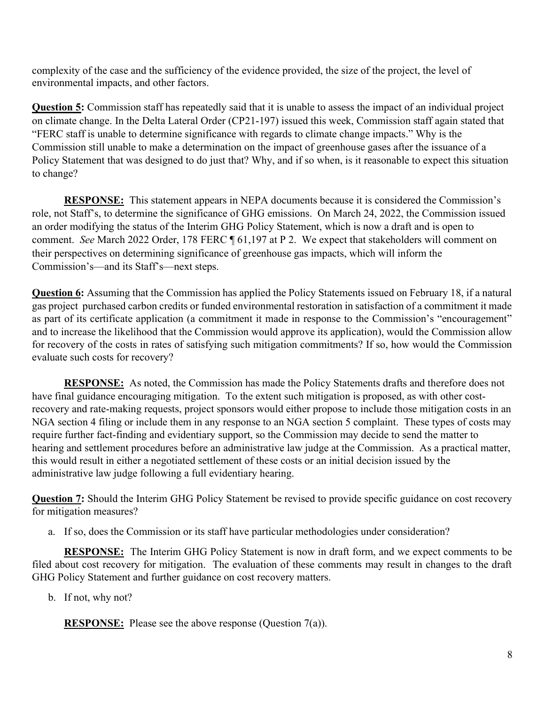complexity of the case and the sufficiency of the evidence provided, the size of the project, the level of environmental impacts, and other factors.

**Question 5:** Commission staff has repeatedly said that it is unable to assess the impact of an individual project on climate change. In the Delta Lateral Order (CP21-197) issued this week, Commission staff again stated that "FERC staff is unable to determine significance with regards to climate change impacts." Why is the Commission still unable to make a determination on the impact of greenhouse gases after the issuance of a Policy Statement that was designed to do just that? Why, and if so when, is it reasonable to expect this situation to change?

**RESPONSE:** This statement appears in NEPA documents because it is considered the Commission's role, not Staff's, to determine the significance of GHG emissions. On March 24, 2022, the Commission issued an order modifying the status of the Interim GHG Policy Statement, which is now a draft and is open to comment. See March 2022 Order, 178 FERC ¶ 61,197 at P 2. We expect that stakeholders will comment on their perspectives on determining significance of greenhouse gas impacts, which will inform the Commission's—and its Staff's—next steps.

Question 6: Assuming that the Commission has applied the Policy Statements issued on February 18, if a natural gas project purchased carbon credits or funded environmental restoration in satisfaction of a commitment it made as part of its certificate application (a commitment it made in response to the Commission's "encouragement" and to increase the likelihood that the Commission would approve its application), would the Commission allow for recovery of the costs in rates of satisfying such mitigation commitments? If so, how would the Commission evaluate such costs for recovery?

RESPONSE: As noted, the Commission has made the Policy Statements drafts and therefore does not have final guidance encouraging mitigation. To the extent such mitigation is proposed, as with other costrecovery and rate-making requests, project sponsors would either propose to include those mitigation costs in an NGA section 4 filing or include them in any response to an NGA section 5 complaint. These types of costs may require further fact-finding and evidentiary support, so the Commission may decide to send the matter to hearing and settlement procedures before an administrative law judge at the Commission. As a practical matter, this would result in either a negotiated settlement of these costs or an initial decision issued by the administrative law judge following a full evidentiary hearing.

Question 7: Should the Interim GHG Policy Statement be revised to provide specific guidance on cost recovery for mitigation measures?

a. If so, does the Commission or its staff have particular methodologies under consideration?

**RESPONSE:** The Interim GHG Policy Statement is now in draft form, and we expect comments to be filed about cost recovery for mitigation. The evaluation of these comments may result in changes to the draft GHG Policy Statement and further guidance on cost recovery matters.

b. If not, why not?

**RESPONSE:** Please see the above response (Question 7(a)).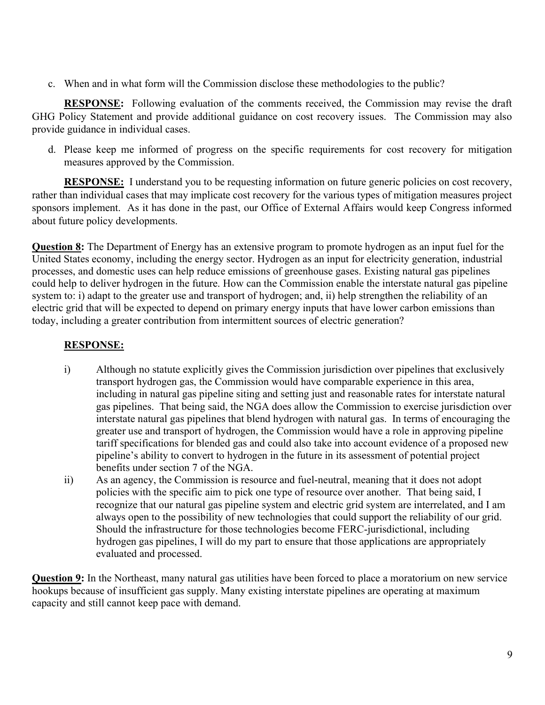c. When and in what form will the Commission disclose these methodologies to the public?

RESPONSE: Following evaluation of the comments received, the Commission may revise the draft GHG Policy Statement and provide additional guidance on cost recovery issues. The Commission may also provide guidance in individual cases.

d. Please keep me informed of progress on the specific requirements for cost recovery for mitigation measures approved by the Commission.

RESPONSE: I understand you to be requesting information on future generic policies on cost recovery, rather than individual cases that may implicate cost recovery for the various types of mitigation measures project sponsors implement. As it has done in the past, our Office of External Affairs would keep Congress informed about future policy developments.

**Question 8:** The Department of Energy has an extensive program to promote hydrogen as an input fuel for the United States economy, including the energy sector. Hydrogen as an input for electricity generation, industrial processes, and domestic uses can help reduce emissions of greenhouse gases. Existing natural gas pipelines could help to deliver hydrogen in the future. How can the Commission enable the interstate natural gas pipeline system to: i) adapt to the greater use and transport of hydrogen; and, ii) help strengthen the reliability of an electric grid that will be expected to depend on primary energy inputs that have lower carbon emissions than today, including a greater contribution from intermittent sources of electric generation?

# RESPONSE:

- i) Although no statute explicitly gives the Commission jurisdiction over pipelines that exclusively transport hydrogen gas, the Commission would have comparable experience in this area, including in natural gas pipeline siting and setting just and reasonable rates for interstate natural gas pipelines. That being said, the NGA does allow the Commission to exercise jurisdiction over interstate natural gas pipelines that blend hydrogen with natural gas. In terms of encouraging the greater use and transport of hydrogen, the Commission would have a role in approving pipeline tariff specifications for blended gas and could also take into account evidence of a proposed new pipeline's ability to convert to hydrogen in the future in its assessment of potential project benefits under section 7 of the NGA.
- ii) As an agency, the Commission is resource and fuel-neutral, meaning that it does not adopt policies with the specific aim to pick one type of resource over another. That being said, I recognize that our natural gas pipeline system and electric grid system are interrelated, and I am always open to the possibility of new technologies that could support the reliability of our grid. Should the infrastructure for those technologies become FERC-jurisdictional, including hydrogen gas pipelines, I will do my part to ensure that those applications are appropriately evaluated and processed.

Question 9: In the Northeast, many natural gas utilities have been forced to place a moratorium on new service hookups because of insufficient gas supply. Many existing interstate pipelines are operating at maximum capacity and still cannot keep pace with demand.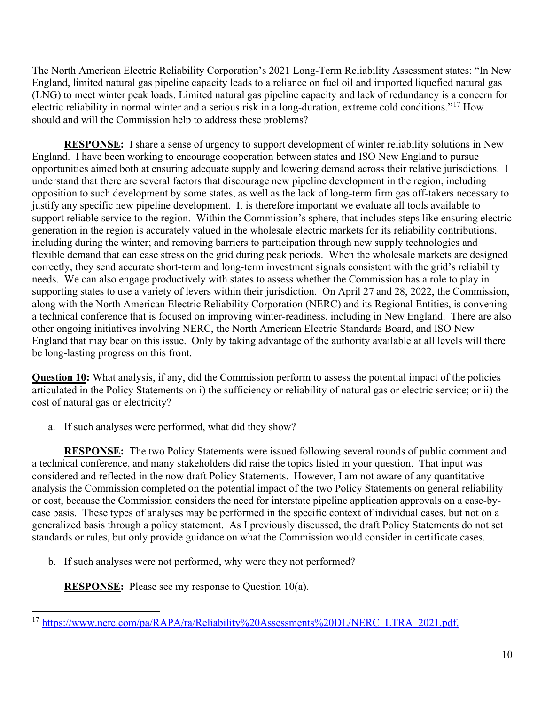The North American Electric Reliability Corporation's 2021 Long-Term Reliability Assessment states: "In New England, limited natural gas pipeline capacity leads to a reliance on fuel oil and imported liquefied natural gas (LNG) to meet winter peak loads. Limited natural gas pipeline capacity and lack of redundancy is a concern for electric reliability in normal winter and a serious risk in a long-duration, extreme cold conditions."<sup>17</sup> How should and will the Commission help to address these problems?

RESPONSE: I share a sense of urgency to support development of winter reliability solutions in New England. I have been working to encourage cooperation between states and ISO New England to pursue opportunities aimed both at ensuring adequate supply and lowering demand across their relative jurisdictions. I understand that there are several factors that discourage new pipeline development in the region, including opposition to such development by some states, as well as the lack of long-term firm gas off-takers necessary to justify any specific new pipeline development. It is therefore important we evaluate all tools available to support reliable service to the region. Within the Commission's sphere, that includes steps like ensuring electric generation in the region is accurately valued in the wholesale electric markets for its reliability contributions, including during the winter; and removing barriers to participation through new supply technologies and flexible demand that can ease stress on the grid during peak periods. When the wholesale markets are designed correctly, they send accurate short-term and long-term investment signals consistent with the grid's reliability needs. We can also engage productively with states to assess whether the Commission has a role to play in supporting states to use a variety of levers within their jurisdiction. On April 27 and 28, 2022, the Commission, along with the North American Electric Reliability Corporation (NERC) and its Regional Entities, is convening a technical conference that is focused on improving winter-readiness, including in New England. There are also other ongoing initiatives involving NERC, the North American Electric Standards Board, and ISO New England that may bear on this issue. Only by taking advantage of the authority available at all levels will there be long-lasting progress on this front.

Question 10: What analysis, if any, did the Commission perform to assess the potential impact of the policies articulated in the Policy Statements on i) the sufficiency or reliability of natural gas or electric service; or ii) the cost of natural gas or electricity?

a. If such analyses were performed, what did they show?

RESPONSE: The two Policy Statements were issued following several rounds of public comment and a technical conference, and many stakeholders did raise the topics listed in your question. That input was considered and reflected in the now draft Policy Statements. However, I am not aware of any quantitative analysis the Commission completed on the potential impact of the two Policy Statements on general reliability or cost, because the Commission considers the need for interstate pipeline application approvals on a case-bycase basis. These types of analyses may be performed in the specific context of individual cases, but not on a generalized basis through a policy statement. As I previously discussed, the draft Policy Statements do not set standards or rules, but only provide guidance on what the Commission would consider in certificate cases.

b. If such analyses were not performed, why were they not performed?

**RESPONSE:** Please see my response to Question 10(a).

<sup>&</sup>lt;sup>17</sup> https://www.nerc.com/pa/RAPA/ra/Reliability%20Assessments%20DL/NERC\_LTRA\_2021.pdf.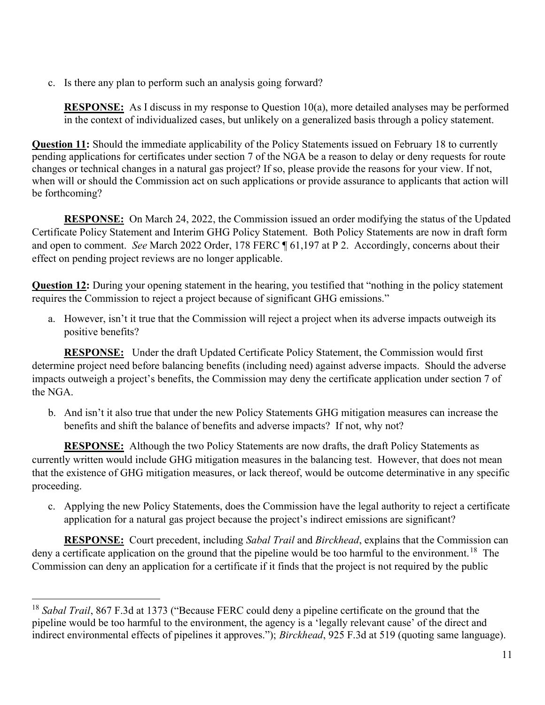c. Is there any plan to perform such an analysis going forward?

**RESPONSE:** As I discuss in my response to Question 10(a), more detailed analyses may be performed in the context of individualized cases, but unlikely on a generalized basis through a policy statement.

Question 11: Should the immediate applicability of the Policy Statements issued on February 18 to currently pending applications for certificates under section 7 of the NGA be a reason to delay or deny requests for route changes or technical changes in a natural gas project? If so, please provide the reasons for your view. If not, when will or should the Commission act on such applications or provide assurance to applicants that action will be forthcoming?

**RESPONSE:** On March 24, 2022, the Commission issued an order modifying the status of the Updated Certificate Policy Statement and Interim GHG Policy Statement. Both Policy Statements are now in draft form and open to comment. See March 2022 Order, 178 FERC ¶ 61,197 at P 2. Accordingly, concerns about their effect on pending project reviews are no longer applicable.

Question 12: During your opening statement in the hearing, you testified that "nothing in the policy statement requires the Commission to reject a project because of significant GHG emissions."

a. However, isn't it true that the Commission will reject a project when its adverse impacts outweigh its positive benefits?

**RESPONSE:** Under the draft Updated Certificate Policy Statement, the Commission would first determine project need before balancing benefits (including need) against adverse impacts. Should the adverse impacts outweigh a project's benefits, the Commission may deny the certificate application under section 7 of the NGA.

b. And isn't it also true that under the new Policy Statements GHG mitigation measures can increase the benefits and shift the balance of benefits and adverse impacts? If not, why not?

RESPONSE: Although the two Policy Statements are now drafts, the draft Policy Statements as currently written would include GHG mitigation measures in the balancing test. However, that does not mean that the existence of GHG mitigation measures, or lack thereof, would be outcome determinative in any specific proceeding.

c. Applying the new Policy Statements, does the Commission have the legal authority to reject a certificate application for a natural gas project because the project's indirect emissions are significant?

RESPONSE: Court precedent, including Sabal Trail and Birckhead, explains that the Commission can deny a certificate application on the ground that the pipeline would be too harmful to the environment.<sup>18</sup> The Commission can deny an application for a certificate if it finds that the project is not required by the public

 $18$  Sabal Trail, 867 F.3d at 1373 ("Because FERC could deny a pipeline certificate on the ground that the pipeline would be too harmful to the environment, the agency is a 'legally relevant cause' of the direct and indirect environmental effects of pipelines it approves."); *Birckhead*, 925 F.3d at 519 (quoting same language).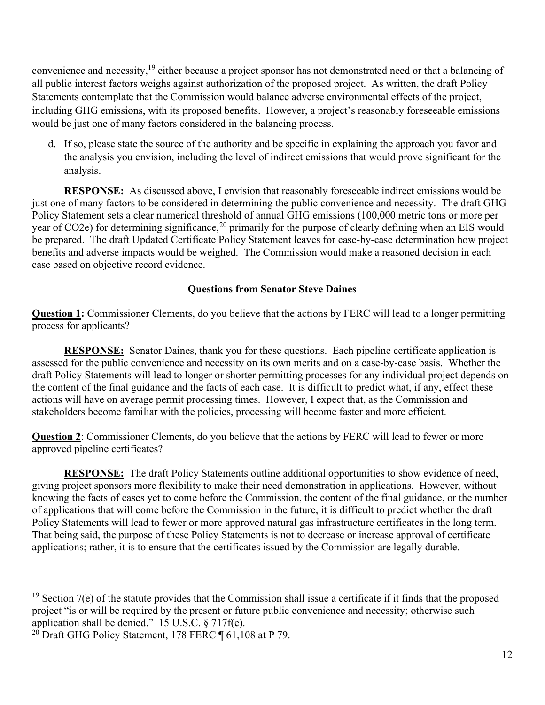convenience and necessity,<sup>19</sup> either because a project sponsor has not demonstrated need or that a balancing of all public interest factors weighs against authorization of the proposed project. As written, the draft Policy Statements contemplate that the Commission would balance adverse environmental effects of the project, including GHG emissions, with its proposed benefits. However, a project's reasonably foreseeable emissions would be just one of many factors considered in the balancing process.

d. If so, please state the source of the authority and be specific in explaining the approach you favor and the analysis you envision, including the level of indirect emissions that would prove significant for the analysis.

RESPONSE: As discussed above, I envision that reasonably foreseeable indirect emissions would be just one of many factors to be considered in determining the public convenience and necessity. The draft GHG Policy Statement sets a clear numerical threshold of annual GHG emissions (100,000 metric tons or more per year of CO2e) for determining significance,<sup>20</sup> primarily for the purpose of clearly defining when an EIS would be prepared. The draft Updated Certificate Policy Statement leaves for case-by-case determination how project benefits and adverse impacts would be weighed. The Commission would make a reasoned decision in each case based on objective record evidence.

# Questions from Senator Steve Daines

Question 1: Commissioner Clements, do you believe that the actions by FERC will lead to a longer permitting process for applicants?

RESPONSE: Senator Daines, thank you for these questions. Each pipeline certificate application is assessed for the public convenience and necessity on its own merits and on a case-by-case basis. Whether the draft Policy Statements will lead to longer or shorter permitting processes for any individual project depends on the content of the final guidance and the facts of each case. It is difficult to predict what, if any, effect these actions will have on average permit processing times. However, I expect that, as the Commission and stakeholders become familiar with the policies, processing will become faster and more efficient.

Question 2: Commissioner Clements, do you believe that the actions by FERC will lead to fewer or more approved pipeline certificates?

RESPONSE: The draft Policy Statements outline additional opportunities to show evidence of need, giving project sponsors more flexibility to make their need demonstration in applications. However, without knowing the facts of cases yet to come before the Commission, the content of the final guidance, or the number of applications that will come before the Commission in the future, it is difficult to predict whether the draft Policy Statements will lead to fewer or more approved natural gas infrastructure certificates in the long term. That being said, the purpose of these Policy Statements is not to decrease or increase approval of certificate applications; rather, it is to ensure that the certificates issued by the Commission are legally durable.

 $19$  Section 7(e) of the statute provides that the Commission shall issue a certificate if it finds that the proposed project "is or will be required by the present or future public convenience and necessity; otherwise such application shall be denied." 15 U.S.C.  $\S 717f(e)$ .

<sup>&</sup>lt;sup>20</sup> Draft GHG Policy Statement, 178 FERC  $\P$  61,108 at P 79.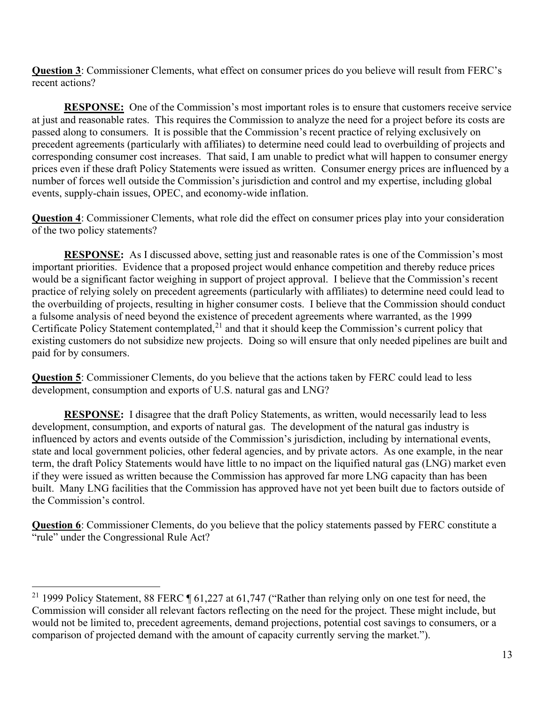Question 3: Commissioner Clements, what effect on consumer prices do you believe will result from FERC's recent actions?

**RESPONSE:** One of the Commission's most important roles is to ensure that customers receive service at just and reasonable rates. This requires the Commission to analyze the need for a project before its costs are passed along to consumers. It is possible that the Commission's recent practice of relying exclusively on precedent agreements (particularly with affiliates) to determine need could lead to overbuilding of projects and corresponding consumer cost increases. That said, I am unable to predict what will happen to consumer energy prices even if these draft Policy Statements were issued as written. Consumer energy prices are influenced by a number of forces well outside the Commission's jurisdiction and control and my expertise, including global events, supply-chain issues, OPEC, and economy-wide inflation.

Question 4: Commissioner Clements, what role did the effect on consumer prices play into your consideration of the two policy statements?

RESPONSE: As I discussed above, setting just and reasonable rates is one of the Commission's most important priorities. Evidence that a proposed project would enhance competition and thereby reduce prices would be a significant factor weighing in support of project approval. I believe that the Commission's recent practice of relying solely on precedent agreements (particularly with affiliates) to determine need could lead to the overbuilding of projects, resulting in higher consumer costs. I believe that the Commission should conduct a fulsome analysis of need beyond the existence of precedent agreements where warranted, as the 1999 Certificate Policy Statement contemplated, $^{21}$  and that it should keep the Commission's current policy that existing customers do not subsidize new projects. Doing so will ensure that only needed pipelines are built and paid for by consumers.

Question 5: Commissioner Clements, do you believe that the actions taken by FERC could lead to less development, consumption and exports of U.S. natural gas and LNG?

**RESPONSE:** I disagree that the draft Policy Statements, as written, would necessarily lead to less development, consumption, and exports of natural gas. The development of the natural gas industry is influenced by actors and events outside of the Commission's jurisdiction, including by international events, state and local government policies, other federal agencies, and by private actors. As one example, in the near term, the draft Policy Statements would have little to no impact on the liquified natural gas (LNG) market even if they were issued as written because the Commission has approved far more LNG capacity than has been built. Many LNG facilities that the Commission has approved have not yet been built due to factors outside of the Commission's control.

Question 6: Commissioner Clements, do you believe that the policy statements passed by FERC constitute a "rule" under the Congressional Rule Act?

<sup>&</sup>lt;sup>21</sup> 1999 Policy Statement, 88 FERC  $\P$  61,227 at 61,747 ("Rather than relying only on one test for need, the Commission will consider all relevant factors reflecting on the need for the project. These might include, but would not be limited to, precedent agreements, demand projections, potential cost savings to consumers, or a comparison of projected demand with the amount of capacity currently serving the market.").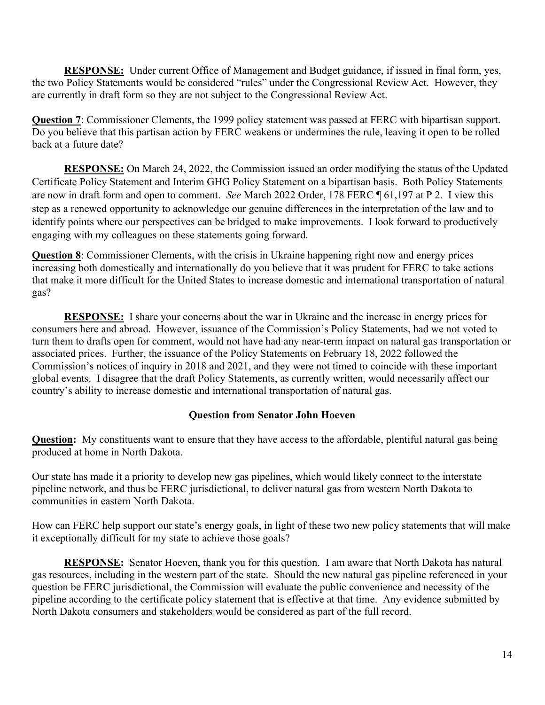RESPONSE: Under current Office of Management and Budget guidance, if issued in final form, yes, the two Policy Statements would be considered "rules" under the Congressional Review Act. However, they are currently in draft form so they are not subject to the Congressional Review Act.

Question 7: Commissioner Clements, the 1999 policy statement was passed at FERC with bipartisan support. Do you believe that this partisan action by FERC weakens or undermines the rule, leaving it open to be rolled back at a future date?

**RESPONSE:** On March 24, 2022, the Commission issued an order modifying the status of the Updated Certificate Policy Statement and Interim GHG Policy Statement on a bipartisan basis. Both Policy Statements are now in draft form and open to comment. See March 2022 Order, 178 FERC ¶ 61,197 at P 2. I view this step as a renewed opportunity to acknowledge our genuine differences in the interpretation of the law and to identify points where our perspectives can be bridged to make improvements. I look forward to productively engaging with my colleagues on these statements going forward.

Question 8: Commissioner Clements, with the crisis in Ukraine happening right now and energy prices increasing both domestically and internationally do you believe that it was prudent for FERC to take actions that make it more difficult for the United States to increase domestic and international transportation of natural gas?

RESPONSE: I share your concerns about the war in Ukraine and the increase in energy prices for consumers here and abroad. However, issuance of the Commission's Policy Statements, had we not voted to turn them to drafts open for comment, would not have had any near-term impact on natural gas transportation or associated prices. Further, the issuance of the Policy Statements on February 18, 2022 followed the Commission's notices of inquiry in 2018 and 2021, and they were not timed to coincide with these important global events. I disagree that the draft Policy Statements, as currently written, would necessarily affect our country's ability to increase domestic and international transportation of natural gas.

# Question from Senator John Hoeven

**Question:** My constituents want to ensure that they have access to the affordable, plentiful natural gas being produced at home in North Dakota.

Our state has made it a priority to develop new gas pipelines, which would likely connect to the interstate pipeline network, and thus be FERC jurisdictional, to deliver natural gas from western North Dakota to communities in eastern North Dakota.

How can FERC help support our state's energy goals, in light of these two new policy statements that will make it exceptionally difficult for my state to achieve those goals?

RESPONSE: Senator Hoeven, thank you for this question. I am aware that North Dakota has natural gas resources, including in the western part of the state. Should the new natural gas pipeline referenced in your question be FERC jurisdictional, the Commission will evaluate the public convenience and necessity of the pipeline according to the certificate policy statement that is effective at that time. Any evidence submitted by North Dakota consumers and stakeholders would be considered as part of the full record.